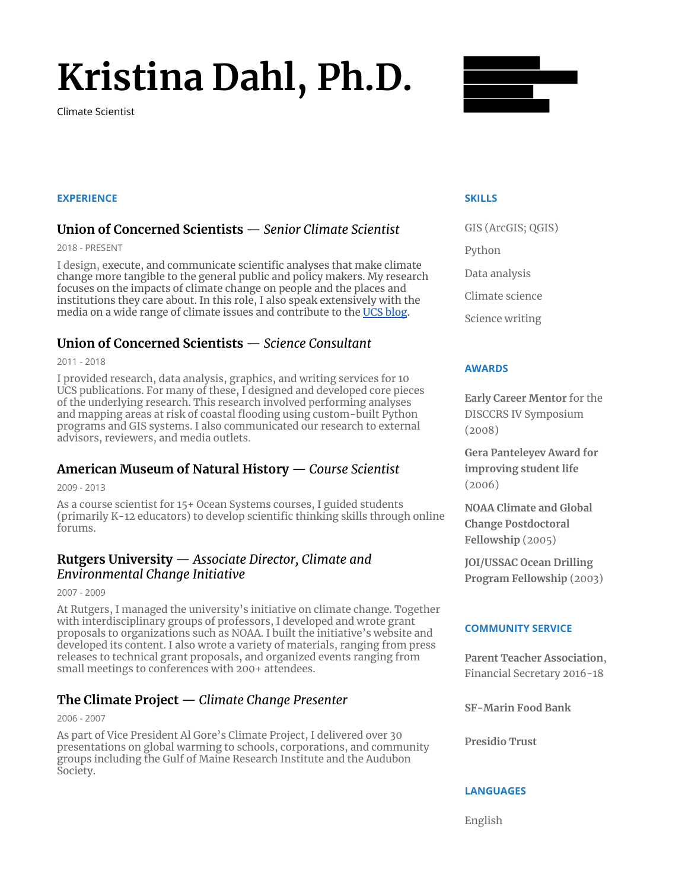# **Kristina Dahl, Ph.D.**

Climate Scientist



## **EXPERIENCE**

# **Union of Concerned Scientists** — *Senior Climate Scientist*

2018 - PRESENT

I design, execute, and communicate scientific analyses that make climate change more tangible to the general public and policy makers. My research focuses on the impacts of climate change on people and the places and institutions they care about. In this role, I also speak extensively with the media on a wide range of climate issues and contribute to the [UCS blog](https://blog.ucsusa.org/author/kristy-dahl).

# **Union of Concerned Scientists** — *Science Consultant*

2011 - 2018

I provided research, data analysis, graphics, and writing services for 10 UCS publications. For many of these, I designed and developed core pieces of the underlying research. This research involved performing analyses and mapping areas at risk of coastal flooding using custom-built Python programs and GIS systems. I also communicated our research to external advisors, reviewers, and media outlets.

# **American Museum of Natural History** — *Course Scientist*

2009 - 2013

As a course scientist for 15+ Ocean Systems courses, I guided students (primarily K-12 educators) to develop scientific thinking skills through online forums.

# **Rutgers University** — *Associate Director, Climate and Environmental Change Initiative*

2007 - 2009

At Rutgers, I managed the university's initiative on climate change. Together with interdisciplinary groups of professors, I developed and wrote grant proposals to organizations such as NOAA. I built the initiative's website and developed its content. I also wrote a variety of materials, ranging from press releases to technical grant proposals, and organized events ranging from small meetings to conferences with 200+ attendees.

# **The Climate Project** — *Climate Change Presenter*

2006 - 2007

As part of Vice President Al Gore's Climate Project, I delivered over 30 presentations on global warming to schools, corporations, and community groups including the Gulf of Maine Research Institute and the Audubon Society.

### **SKILLS**

GIS (ArcGIS; QGIS) Python Data analysis Climate science Science writing

## **AWARDS**

**Early Career Mentor** for the DISCCRS IV Symposium (2008)

**Gera Panteleyev Award for improving student life** (2006)

**NOAA Climate and Global Change Postdoctoral Fellowship** (2005)

**JOI/USSAC Ocean Drilling Program Fellowship** (2003)

## **COMMUNITY SERVICE**

**Parent Teacher Association**, Financial Secretary 2016-18

**SF-Marin Food Bank**

**Presidio Trust**

## **LANGUAGES**

English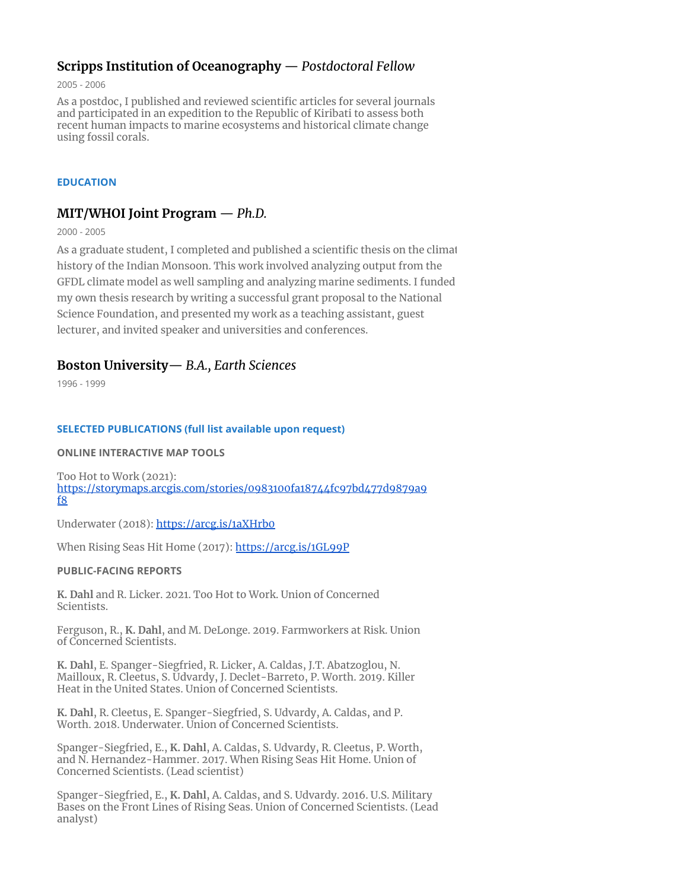# **Scripps Institution of Oceanography** — *Postdoctoral Fellow*

2005 - 2006

As a postdoc, I published and reviewed scientific articles for several journals and participated in an expedition to the Republic of Kiribati to assess both recent human impacts to marine ecosystems and historical climate change using fossil corals.

## **EDUCATION**

# **MIT/WHOI Joint Program** — *Ph.D.*

2000 - 2005

As a graduate student, I completed and published a scientific thesis on the climat history of the Indian Monsoon. This work involved analyzing output from the GFDL climate model as well sampling and analyzing marine sediments. I funded my own thesis research by writing a successful grant proposal to the National Science Foundation, and presented my work as a teaching assistant, guest lecturer, and invited speaker and universities and conferences.

# **Boston University**— *B.A., Earth Sciences*

1996 - 1999

### **SELECTED PUBLICATIONS (full list available upon request)**

#### **ONLINE INTERACTIVE MAP TOOLS**

Too Hot to Work (2021): [https://storymaps.arcgis.com/stories/0983100fa18744fc97bd477d9879a9](https://storymaps.arcgis.com/stories/0983100fa18744fc97bd477d9879a9f8) [f8](https://storymaps.arcgis.com/stories/0983100fa18744fc97bd477d9879a9f8)

Underwater (2018): <https://arcg.is/1aXHrb0>

When Rising Seas Hit Home (2017): <https://arcg.is/1GL99P>

#### **PUBLIC-FACING REPORTS**

**K. Dahl** and R. Licker. 2021. Too Hot to Work. Union of Concerned Scientists.

Ferguson, R., **K. Dahl**, and M. DeLonge. 2019. Farmworkers at Risk. Union of Concerned Scientists.

**K. Dahl**, E. Spanger-Siegfried, R. Licker, A. Caldas, J.T. Abatzoglou, N. Mailloux, R. Cleetus, S. Udvardy, J. Declet-Barreto, P. Worth. 2019. Killer Heat in the United States. Union of Concerned Scientists.

**K. Dahl**, R. Cleetus, E. Spanger-Siegfried, S. Udvardy, A. Caldas, and P. Worth. 2018. Underwater. Union of Concerned Scientists.

Spanger-Siegfried, E., **K. Dahl**, A. Caldas, S. Udvardy, R. Cleetus, P. Worth, and N. Hernandez-Hammer. 2017. When Rising Seas Hit Home. Union of Concerned Scientists. (Lead scientist)

Spanger-Siegfried, E., **K. Dahl**, A. Caldas, and S. Udvardy. 2016. U.S. Military Bases on the Front Lines of Rising Seas. Union of Concerned Scientists. (Lead analyst)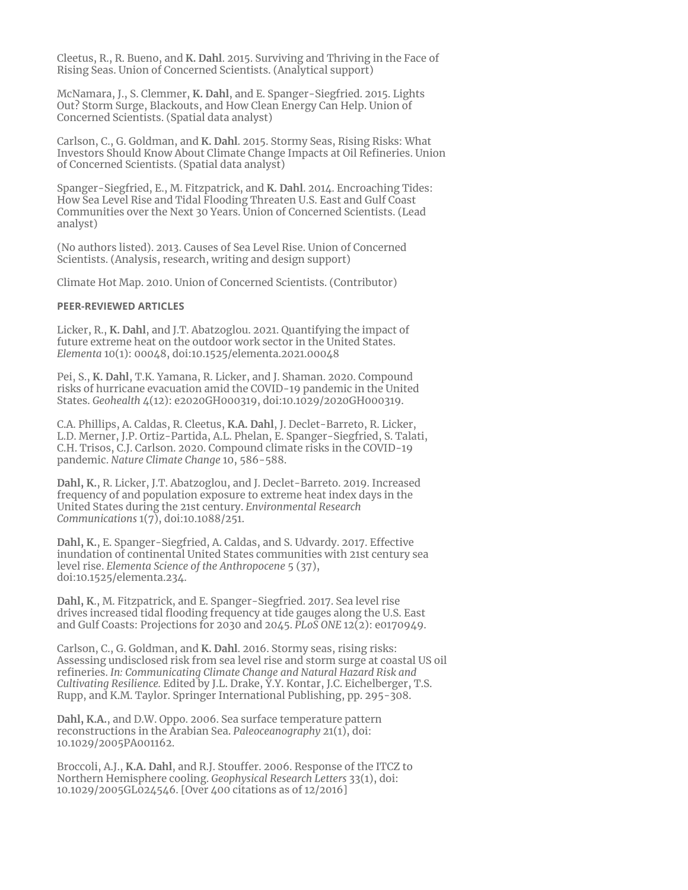Cleetus, R., R. Bueno, and **K. Dahl**. 2015. Surviving and Thriving in the Face of Rising Seas. Union of Concerned Scientists. (Analytical support)

McNamara, J., S. Clemmer, **K. Dahl**, and E. Spanger-Siegfried. 2015. Lights Out? Storm Surge, Blackouts, and How Clean Energy Can Help. Union of Concerned Scientists. (Spatial data analyst)

Carlson, C., G. Goldman, and **K. Dahl**. 2015. Stormy Seas, Rising Risks: What Investors Should Know About Climate Change Impacts at Oil Refineries. Union of Concerned Scientists. (Spatial data analyst)

Spanger-Siegfried, E., M. Fitzpatrick, and **K. Dahl**. 2014. Encroaching Tides: How Sea Level Rise and Tidal Flooding Threaten U.S. East and Gulf Coast Communities over the Next 30 Years. Union of Concerned Scientists. (Lead analyst)

(No authors listed). 2013. Causes of Sea Level Rise. Union of Concerned Scientists. (Analysis, research, writing and design support)

Climate Hot Map. 2010. Union of Concerned Scientists. (Contributor)

#### **PEER-REVIEWED ARTICLES**

Licker, R., **K. Dahl**, and J.T. Abatzoglou. 2021. Quantifying the impact of future extreme heat on the outdoor work sector in the United States. *Elementa* 10(1): 00048, doi:10.1525/elementa.2021.00048

Pei, S., **K. Dahl**, T.K. Yamana, R. Licker, and J. Shaman. 2020. Compound risks of hurricane evacuation amid the COVID-19 pandemic in the United States. *Geohealth* 4(12): e2020GH000319, doi:10.1029/2020GH000319.

C.A. Phillips, A. Caldas, R. Cleetus, **K.A. Dahl**, J. Declet-Barreto, R. Licker, L.D. Merner, J.P. Ortiz-Partida, A.L. Phelan, E. Spanger-Siegfried, S. Talati, C.H. Trisos, C.J. Carlson. 2020. Compound climate risks in the COVID-19 pandemic. *Nature Climate Change* 10, 586-588.

**Dahl, K.**, R. Licker, J.T. Abatzoglou, and J. Declet-Barreto. 2019. Increased frequency of and population exposure to extreme heat index days in the United States during the 21st century. *Environmental Research Communications* 1(7), doi:10.1088/251.

**Dahl, K.**, E. Spanger-Siegfried, A. Caldas, and S. Udvardy. 2017. Effective inundation of continental United States communities with 21st century sea level rise. *Elementa Science of the Anthropocene* 5 (37), doi:10.1525/elementa.234.

**Dahl, K**., M. Fitzpatrick, and E. Spanger-Siegfried. 2017. Sea level rise drives increased tidal flooding frequency at tide gauges along the U.S. East and Gulf Coasts: Projections for 2030 and 2045. *PLoS ONE* 12(2): e0170949.

Carlson, C., G. Goldman, and **K. Dahl**. 2016. Stormy seas, rising risks: Assessing undisclosed risk from sea level rise and storm surge at coastal US oil refineries. *In: Communicating Climate Change and Natural Hazard Risk and Cultivating Resilience.* Edited by J.L. Drake, Y.Y. Kontar, J.C. Eichelberger, T.S. Rupp, and K.M. Taylor. Springer International Publishing, pp. 295-308.

**Dahl, K.A.**, and D.W. Oppo. 2006. Sea surface temperature pattern reconstructions in the Arabian Sea. *Paleoceanography* 21(1), doi: 10.1029/2005PA001162.

Broccoli, A.J., **K.A. Dahl**, and R.J. Stouffer. 2006. Response of the ITCZ to Northern Hemisphere cooling. *Geophysical Research Letters* 33(1), doi: 10.1029/2005GL024546. [Over 400 citations as of 12/2016]